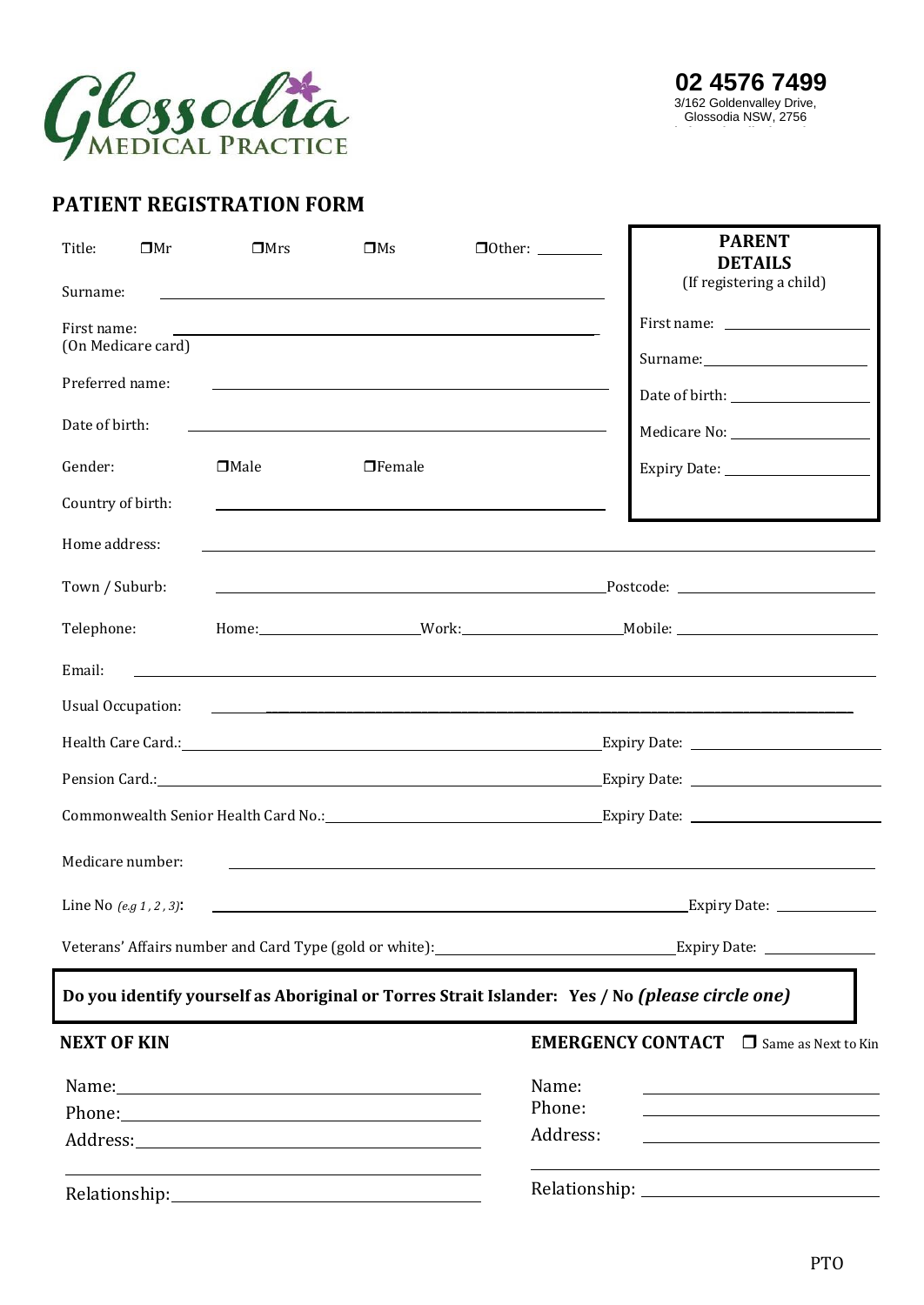

## **PATIENT REGISTRATION FORM**

| Title:                                                                                                                                                                                                                         | $\square$ Mr               | $\square$ Mrs                                                                                                                                                                                                                  | $\Box$ Ms                                                    | $\Box$ Other: $\_\_$                                                                                                | <b>PARENT</b><br><b>DETAILS</b><br>(If registering a child)                                                                                                                                                                                                                                                                                                                                                                                                                                |  |  |
|--------------------------------------------------------------------------------------------------------------------------------------------------------------------------------------------------------------------------------|----------------------------|--------------------------------------------------------------------------------------------------------------------------------------------------------------------------------------------------------------------------------|--------------------------------------------------------------|---------------------------------------------------------------------------------------------------------------------|--------------------------------------------------------------------------------------------------------------------------------------------------------------------------------------------------------------------------------------------------------------------------------------------------------------------------------------------------------------------------------------------------------------------------------------------------------------------------------------------|--|--|
| Surname:                                                                                                                                                                                                                       |                            |                                                                                                                                                                                                                                |                                                              |                                                                                                                     |                                                                                                                                                                                                                                                                                                                                                                                                                                                                                            |  |  |
| First name:                                                                                                                                                                                                                    | (On Medicare card)         |                                                                                                                                                                                                                                |                                                              |                                                                                                                     |                                                                                                                                                                                                                                                                                                                                                                                                                                                                                            |  |  |
| Preferred name:                                                                                                                                                                                                                |                            |                                                                                                                                                                                                                                |                                                              |                                                                                                                     |                                                                                                                                                                                                                                                                                                                                                                                                                                                                                            |  |  |
|                                                                                                                                                                                                                                |                            |                                                                                                                                                                                                                                |                                                              | <u> 1980 - John Stein, markin sammen fyrsti stjórn og fyrir sem fyrir sem fyrir sem fyrir sem fyrir sem fyrir s</u> |                                                                                                                                                                                                                                                                                                                                                                                                                                                                                            |  |  |
| Date of birth:                                                                                                                                                                                                                 |                            |                                                                                                                                                                                                                                |                                                              |                                                                                                                     |                                                                                                                                                                                                                                                                                                                                                                                                                                                                                            |  |  |
| Gender:                                                                                                                                                                                                                        |                            | $\Box$ Male                                                                                                                                                                                                                    | $\Box$ Female                                                |                                                                                                                     |                                                                                                                                                                                                                                                                                                                                                                                                                                                                                            |  |  |
| Country of birth:                                                                                                                                                                                                              |                            |                                                                                                                                                                                                                                | <u> 1989 - Johann Stein, mars ann an Catharine ann an t-</u> |                                                                                                                     |                                                                                                                                                                                                                                                                                                                                                                                                                                                                                            |  |  |
| Home address:                                                                                                                                                                                                                  |                            |                                                                                                                                                                                                                                |                                                              |                                                                                                                     |                                                                                                                                                                                                                                                                                                                                                                                                                                                                                            |  |  |
| Town / Suburb:                                                                                                                                                                                                                 |                            |                                                                                                                                                                                                                                |                                                              |                                                                                                                     | $\blacksquare$ $\blacksquare$ $\blacksquare$ $\blacksquare$ $\blacksquare$ $\blacksquare$ $\blacksquare$ $\blacksquare$ $\blacksquare$ $\blacksquare$ $\blacksquare$ $\blacksquare$ $\blacksquare$ $\blacksquare$ $\blacksquare$ $\blacksquare$ $\blacksquare$ $\blacksquare$ $\blacksquare$ $\blacksquare$ $\blacksquare$ $\blacksquare$ $\blacksquare$ $\blacksquare$ $\blacksquare$ $\blacksquare$ $\blacksquare$ $\blacksquare$ $\blacksquare$ $\blacksquare$ $\blacksquare$ $\blacks$ |  |  |
| Telephone:                                                                                                                                                                                                                     |                            |                                                                                                                                                                                                                                |                                                              |                                                                                                                     |                                                                                                                                                                                                                                                                                                                                                                                                                                                                                            |  |  |
| Email:                                                                                                                                                                                                                         |                            |                                                                                                                                                                                                                                |                                                              |                                                                                                                     |                                                                                                                                                                                                                                                                                                                                                                                                                                                                                            |  |  |
|                                                                                                                                                                                                                                | Usual Occupation:          |                                                                                                                                                                                                                                |                                                              |                                                                                                                     | <u> 1989 - John Harry Harry Harry Harry Harry Harry Harry Harry Harry Harry Harry Harry Harry Harry Harry Harry H</u>                                                                                                                                                                                                                                                                                                                                                                      |  |  |
|                                                                                                                                                                                                                                |                            | Health Care Card.: 1999 March 2014 1999 March 2014 12:30 March 2014 12:30 March 2014 12:30 March 2014 12:30 Ma                                                                                                                 |                                                              |                                                                                                                     |                                                                                                                                                                                                                                                                                                                                                                                                                                                                                            |  |  |
|                                                                                                                                                                                                                                |                            |                                                                                                                                                                                                                                |                                                              |                                                                                                                     |                                                                                                                                                                                                                                                                                                                                                                                                                                                                                            |  |  |
|                                                                                                                                                                                                                                |                            |                                                                                                                                                                                                                                |                                                              |                                                                                                                     |                                                                                                                                                                                                                                                                                                                                                                                                                                                                                            |  |  |
|                                                                                                                                                                                                                                | Medicare number:           |                                                                                                                                                                                                                                |                                                              |                                                                                                                     |                                                                                                                                                                                                                                                                                                                                                                                                                                                                                            |  |  |
|                                                                                                                                                                                                                                | Line No $(e.g. 1, 2, 3)$ : |                                                                                                                                                                                                                                |                                                              |                                                                                                                     | <b>Expiry Date:</b> <u>Containing the Containing of the Containing Section 2014 and 2014 and 2014 and 2014 and 2014 and 2014 and 2014 and 2014 and 2014 and 2014 and 2014 and 2014 and 2014 and 2014 and 2014 and 2014 and 2014 and 2</u>                                                                                                                                                                                                                                                  |  |  |
|                                                                                                                                                                                                                                |                            |                                                                                                                                                                                                                                |                                                              |                                                                                                                     | Veterans' Affairs number and Card Type (gold or white): Expiry Date: Expiry Date:                                                                                                                                                                                                                                                                                                                                                                                                          |  |  |
|                                                                                                                                                                                                                                |                            |                                                                                                                                                                                                                                |                                                              |                                                                                                                     | Do you identify yourself as Aboriginal or Torres Strait Islander: Yes / No (please circle one)                                                                                                                                                                                                                                                                                                                                                                                             |  |  |
| <b>NEXT OF KIN</b>                                                                                                                                                                                                             |                            |                                                                                                                                                                                                                                |                                                              |                                                                                                                     | <b>EMERGENCY CONTACT</b> $\Box$ Same as Next to Kin                                                                                                                                                                                                                                                                                                                                                                                                                                        |  |  |
|                                                                                                                                                                                                                                |                            |                                                                                                                                                                                                                                |                                                              | Name:                                                                                                               | <u> 1989 - Johann Barbara, martin amerikan personal (</u>                                                                                                                                                                                                                                                                                                                                                                                                                                  |  |  |
|                                                                                                                                                                                                                                |                            | Phone: 2008 Phone: 2008 Phone: 2008 Phone: 2008 Phone: 2008 Phone: 2008 Phone: 2008 Phone: 2008 Phone: 2008 Phone: 2008 Phone: 2008 Phone: 2008 Phone: 2008 Phone: 2008 Phone: 2008 Phone: 2008 Phone: 2008 Phone: 2008 Phone: |                                                              | Phone:                                                                                                              |                                                                                                                                                                                                                                                                                                                                                                                                                                                                                            |  |  |
|                                                                                                                                                                                                                                |                            |                                                                                                                                                                                                                                |                                                              |                                                                                                                     | Address:                                                                                                                                                                                                                                                                                                                                                                                                                                                                                   |  |  |
| Relationship: National Accounts and Accounts are also been accounted as a set of the set of the set of the set of the set of the set of the set of the set of the set of the set of the set of the set of the set of the set o |                            |                                                                                                                                                                                                                                |                                                              |                                                                                                                     |                                                                                                                                                                                                                                                                                                                                                                                                                                                                                            |  |  |